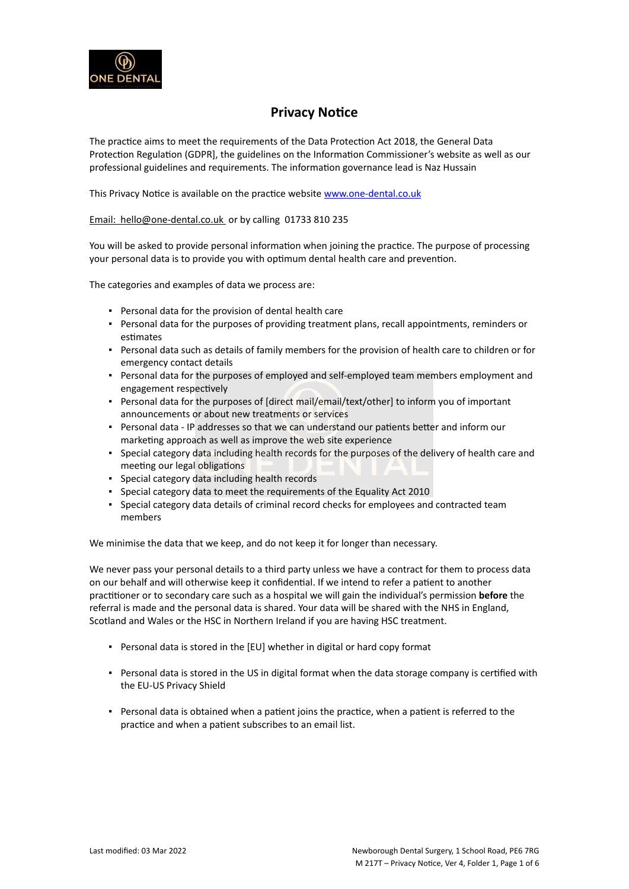

## **Privacy Notice**

The practice aims to meet the requirements of the Data Protection Act 2018, the General Data Protection Regulation (GDPR], the guidelines on the Information Commissioner's website as well as our professional guidelines and requirements. The information governance lead is Naz Hussain

This Privacy Notice is available on the practice website [www.one-dental.co.uk](http://www.one-dentalc.co.uk/)

Email: [hello@one-dental.co.uk](mailto:reception.newborough@live.co.uk) or by calling 01733 810 235

You will be asked to provide personal information when joining the practice. The purpose of processing your personal data is to provide you with optimum dental health care and prevention.

The categories and examples of data we process are:

- Personal data for the provision of dental health care
- Personal data for the purposes of providing treatment plans, recall appointments, reminders or estimates
- Personal data such as details of family members for the provision of health care to children or for emergency contact details
- Personal data for the purposes of employed and self-employed team members employment and engagement respectively
- Personal data for the purposes of [direct mail/email/text/other] to inform you of important announcements or about new treatments or services
- Personal data IP addresses so that we can understand our patients better and inform our marketing approach as well as improve the web site experience
- Special category data including health records for the purposes of the delivery of health care and meeting our legal obligations
- Special category data including health records
- Special category data to meet the requirements of the Equality Act 2010
- Special category data details of criminal record checks for employees and contracted team members

We minimise the data that we keep, and do not keep it for longer than necessary.

We never pass your personal details to a third party unless we have a contract for them to process data on our behalf and will otherwise keep it confidential. If we intend to refer a patient to another practitioner or to secondary care such as a hospital we will gain the individual's permission **before** the referral is made and the personal data is shared. Your data will be shared with the NHS in England, Scotland and Wales or the HSC in Northern Ireland if you are having HSC treatment.

- Personal data is stored in the [EU] whether in digital or hard copy format
- Personal data is stored in the US in digital format when the data storage company is certified with the EU-US Privacy Shield
- Personal data is obtained when a patient joins the practice, when a patient is referred to the practice and when a patient subscribes to an email list.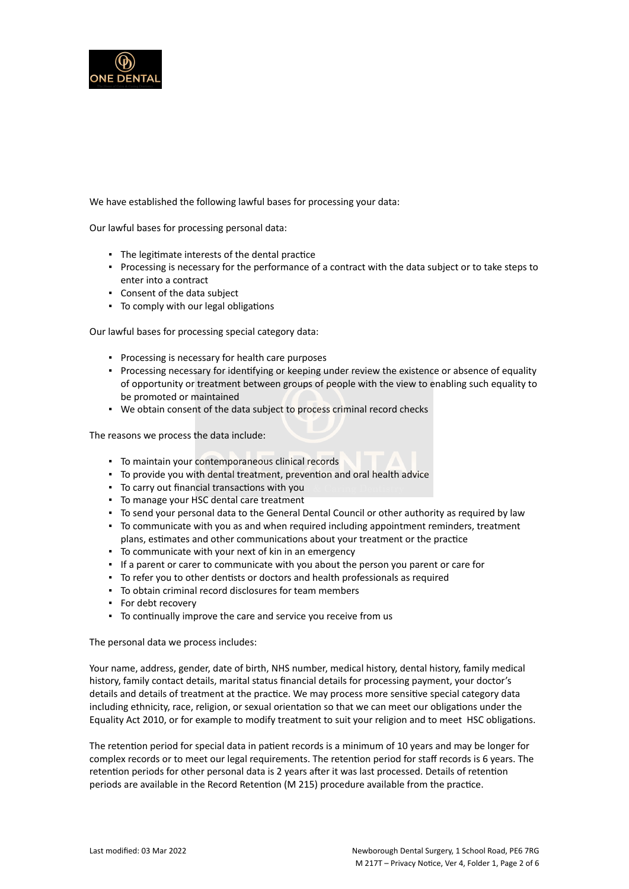

We have established the following lawful bases for processing your data:

Our lawful bases for processing personal data:

- The legitimate interests of the dental practice
- Processing is necessary for the performance of a contract with the data subject or to take steps to enter into a contract
- Consent of the data subject
- To comply with our legal obligations

Our lawful bases for processing special category data:

- Processing is necessary for health care purposes
- Processing necessary for identifying or keeping under review the existence or absence of equality of opportunity or treatment between groups of people with the view to enabling such equality to be promoted or maintained
- We obtain consent of the data subject to process criminal record checks

The reasons we process the data include:

- To maintain your contemporaneous clinical records
- To provide you with dental treatment, prevention and oral health advice
- To carry out financial transactions with you
- To manage your HSC dental care treatment
- To send your personal data to the General Dental Council or other authority as required by law
- To communicate with you as and when required including appointment reminders, treatment plans, estimates and other communications about your treatment or the practice
- To communicate with your next of kin in an emergency
- If a parent or carer to communicate with you about the person you parent or care for
- To refer you to other dentists or doctors and health professionals as required
- To obtain criminal record disclosures for team members
- For debt recovery
- To continually improve the care and service you receive from us

The personal data we process includes:

Your name, address, gender, date of birth, NHS number, medical history, dental history, family medical history, family contact details, marital status financial details for processing payment, your doctor's details and details of treatment at the practice. We may process more sensitive special category data including ethnicity, race, religion, or sexual orientation so that we can meet our obligations under the Equality Act 2010, or for example to modify treatment to suit your religion and to meet HSC obligations.

The retention period for special data in patient records is a minimum of 10 years and may be longer for complex records or to meet our legal requirements. The retention period for staff records is 6 years. The retention periods for other personal data is 2 years after it was last processed. Details of retention periods are available in the Record Retention (M 215) procedure available from the practice.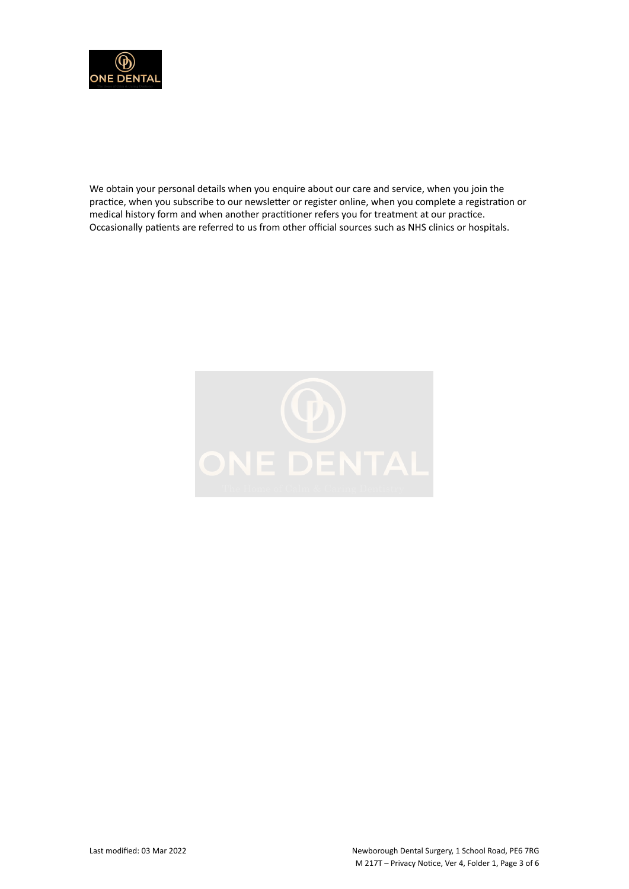

We obtain your personal details when you enquire about our care and service, when you join the practice, when you subscribe to our newsletter or register online, when you complete a registration or medical history form and when another practitioner refers you for treatment at our practice. Occasionally patients are referred to us from other official sources such as NHS clinics or hospitals.

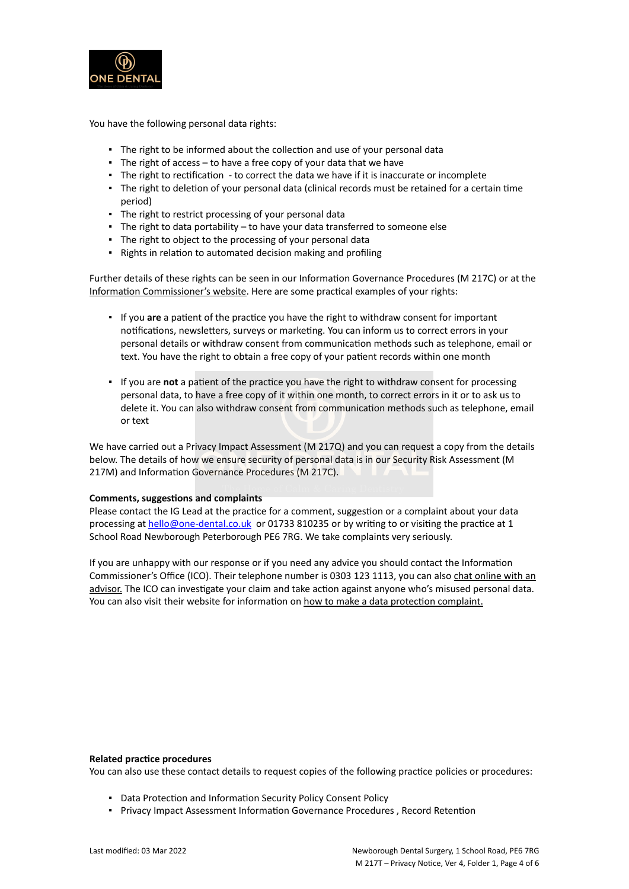

You have the following personal data rights:

- **.** The right to be informed about the collection and use of your personal data
- **•** The right of access  $-$  to have a free copy of your data that we have
- The right to rectification to correct the data we have if it is inaccurate or incomplete
- The right to deletion of your personal data (clinical records must be retained for a certain time period)
- **·** The right to restrict processing of your personal data
- The right to data portability to have your data transferred to someone else
- The right to object to the processing of your personal data
- Rights in relation to automated decision making and profiling

Further details of these rights can be seen in our Information Governance Procedures (M 217C) or at the [Information Commissioner's website](https://ico.org.uk/for-organisations/guide-to-the-general-data-protection-regulation-gdpr/individual-rights/). Here are some practical examples of your rights:

- If you **are** a patient of the practice you have the right to withdraw consent for important notifications, newsletters, surveys or marketing. You can inform us to correct errors in your personal details or withdraw consent from communication methods such as telephone, email or text. You have the right to obtain a free copy of your patient records within one month
- If you are **not** a patient of the practice you have the right to withdraw consent for processing personal data, to have a free copy of it within one month, to correct errors in it or to ask us to delete it. You can also withdraw consent from communication methods such as telephone, email or text

We have carried out a Privacy Impact Assessment (M 217Q) and you can request a copy from the details below. The details of how we ensure security of personal data is in our Security Risk Assessment (M 217M) and Information Governance Procedures (M 217C).

## **Comments, suggestions and complaints**

Please contact the IG Lead at the practice for a comment, suggestion or a complaint about your data processing at [hello@one-dental.co.uk](mailto:hello@one-dental.co.uk) or 01733 810235 or by writing to or visiting the practice at 1 School Road Newborough Peterborough PE6 7RG. We take complaints very seriously.

If you are unhappy with our response or if you need any advice you should contact the Information Commissioner's Office (ICO). Their telephone number is 0303 123 1113, you can also [chat online with an](https://ico.org.uk/global/contact-us/live-chat/) [advisor.](https://ico.org.uk/global/contact-us/live-chat/) The ICO can investigate your claim and take action against anyone who's misused personal data. You can also visit their website for information on [how to make a data protection complaint.](http://www.ico.org.uk/complaints)

## **Related practice procedures**

You can also use these contact details to request copies of the following practice policies or procedures:

- Data Protection and Information Security Policy Consent Policy
- Privacy Impact Assessment Information Governance Procedures , Record Retention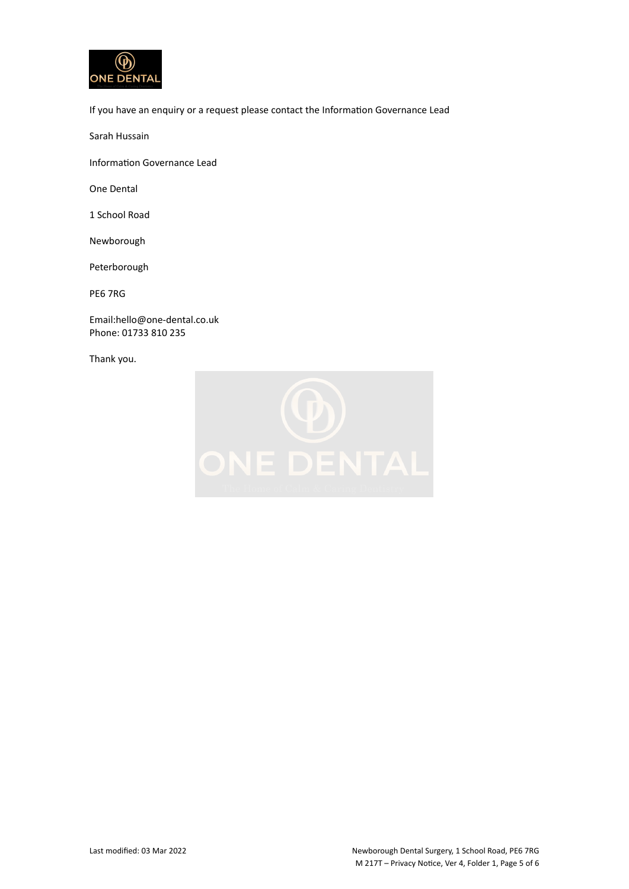

If you have an enquiry or a request please contact the Information Governance Lead

Sarah Hussain

Information Governance Lead

One Dental

1 School Road

Newborough

Peterborough

PE6 7RG

Email:hello@one-dental.co.uk Phone: 01733 810 235

Thank you.